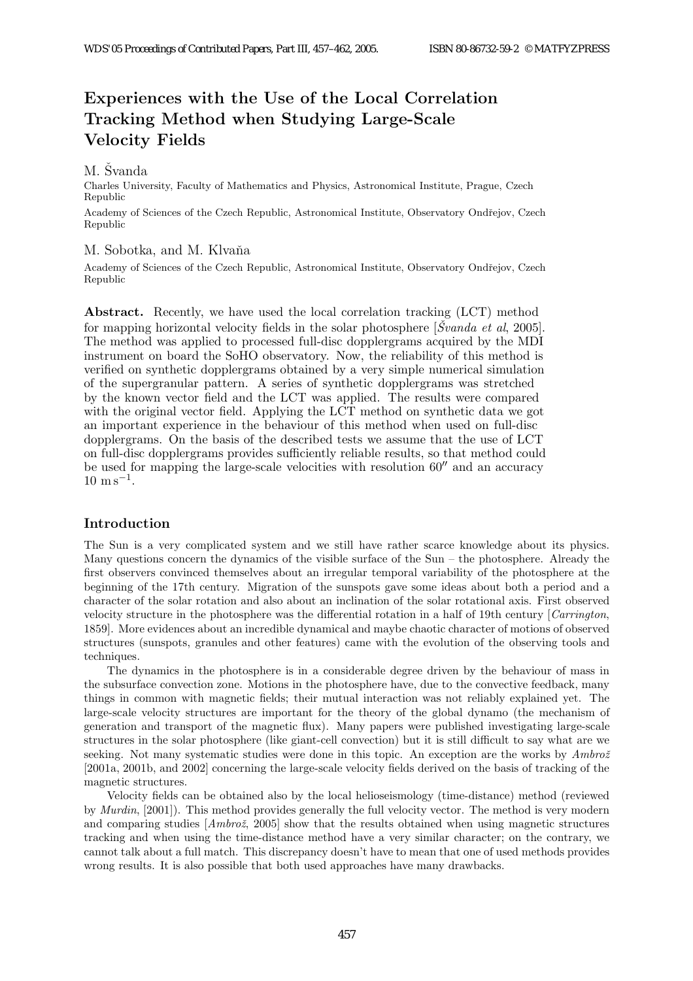# Experiences with the Use of the Local Correlation Tracking Method when Studying Large-Scale Velocity Fields

## M. Svanda

Charles University, Faculty of Mathematics and Physics, Astronomical Institute, Prague, Czech Republic

Academy of Sciences of the Czech Republic, Astronomical Institute, Observatory Ondřejov, Czech Republic

## M. Sobotka, and M. Klvaňa

Academy of Sciences of the Czech Republic, Astronomical Institute, Observatory Ondřejov, Czech Republic

Abstract. Recently, we have used the local correlation tracking (LCT) method for mapping horizontal velocity fields in the solar photosphere  $[\check{S}v \text{ and } a \text{ et } al, 2005]$ . The method was applied to processed full-disc dopplergrams acquired by the MDI instrument on board the SoHO observatory. Now, the reliability of this method is verified on synthetic dopplergrams obtained by a very simple numerical simulation of the supergranular pattern. A series of synthetic dopplergrams was stretched by the known vector field and the LCT was applied. The results were compared with the original vector field. Applying the LCT method on synthetic data we got an important experience in the behaviour of this method when used on full-disc dopplergrams. On the basis of the described tests we assume that the use of LCT on full-disc dopplergrams provides sufficiently reliable results, so that method could be used for mapping the large-scale velocities with resolution  $60''$  and an accuracy  $10 \text{ m s}^{-1}$ .

# Introduction

The Sun is a very complicated system and we still have rather scarce knowledge about its physics. Many questions concern the dynamics of the visible surface of the  $Sun$  – the photosphere. Already the first observers convinced themselves about an irregular temporal variability of the photosphere at the beginning of the 17th century. Migration of the sunspots gave some ideas about both a period and a character of the solar rotation and also about an inclination of the solar rotational axis. First observed velocity structure in the photosphere was the differential rotation in a half of 19th century [Carrington, 1859]. More evidences about an incredible dynamical and maybe chaotic character of motions of observed structures (sunspots, granules and other features) came with the evolution of the observing tools and techniques.

The dynamics in the photosphere is in a considerable degree driven by the behaviour of mass in the subsurface convection zone. Motions in the photosphere have, due to the convective feedback, many things in common with magnetic fields; their mutual interaction was not reliably explained yet. The large-scale velocity structures are important for the theory of the global dynamo (the mechanism of generation and transport of the magnetic flux). Many papers were published investigating large-scale structures in the solar photosphere (like giant-cell convection) but it is still difficult to say what are we seeking. Not many systematic studies were done in this topic. An exception are the works by  $Ambro\check{z}$ [2001a, 2001b, and 2002] concerning the large-scale velocity fields derived on the basis of tracking of the magnetic structures.

Velocity fields can be obtained also by the local helioseismology (time-distance) method (reviewed by Murdin, [2001]). This method provides generally the full velocity vector. The method is very modern and comparing studies  $[Ambro\check{z}]$ , 2005] show that the results obtained when using magnetic structures tracking and when using the time-distance method have a very similar character; on the contrary, we cannot talk about a full match. This discrepancy doesn't have to mean that one of used methods provides wrong results. It is also possible that both used approaches have many drawbacks.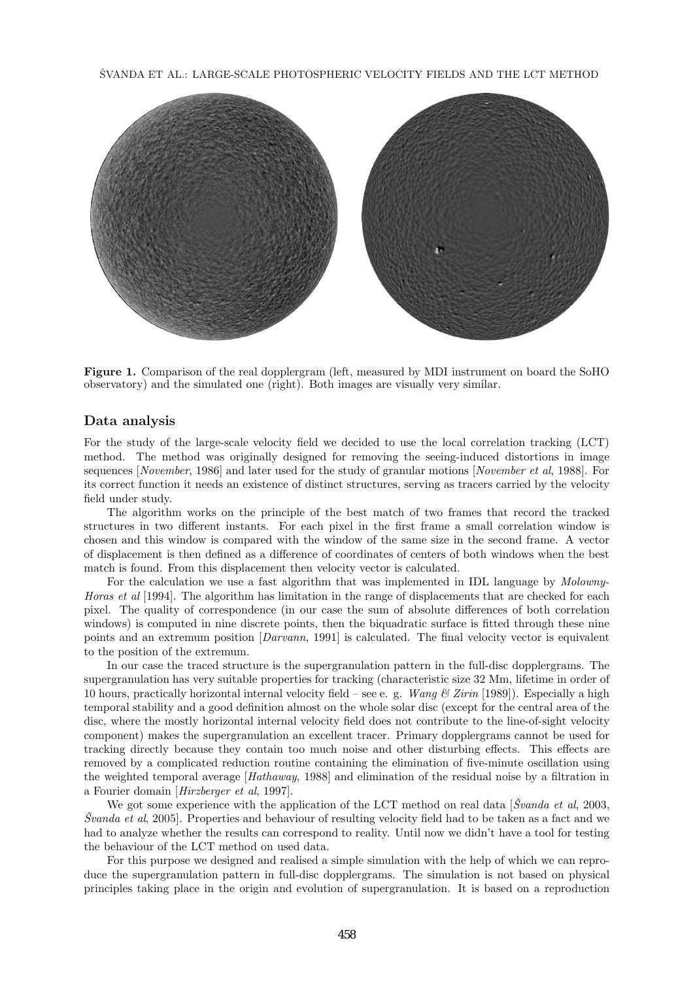SVANDA ET AL.: LARGE-SCALE PHOTOSPHERIC VELOCITY FIELDS AND THE LCT METHOD



Figure 1. Comparison of the real dopplergram (left, measured by MDI instrument on board the SoHO observatory) and the simulated one (right). Both images are visually very similar.

#### Data analysis

For the study of the large-scale velocity field we decided to use the local correlation tracking (LCT) method. The method was originally designed for removing the seeing-induced distortions in image sequences [November, 1986] and later used for the study of granular motions [November et al, 1988]. For its correct function it needs an existence of distinct structures, serving as tracers carried by the velocity field under study.

The algorithm works on the principle of the best match of two frames that record the tracked structures in two different instants. For each pixel in the first frame a small correlation window is chosen and this window is compared with the window of the same size in the second frame. A vector of displacement is then defined as a difference of coordinates of centers of both windows when the best match is found. From this displacement then velocity vector is calculated.

For the calculation we use a fast algorithm that was implemented in IDL language by *Molowny*-Horas et al [1994]. The algorithm has limitation in the range of displacements that are checked for each pixel. The quality of correspondence (in our case the sum of absolute differences of both correlation windows) is computed in nine discrete points, then the biquadratic surface is fitted through these nine points and an extremum position [Darvann, 1991] is calculated. The final velocity vector is equivalent to the position of the extremum.

In our case the traced structure is the supergranulation pattern in the full-disc dopplergrams. The supergranulation has very suitable properties for tracking (characteristic size 32 Mm, lifetime in order of 10 hours, practically horizontal internal velocity field – see e. g. Wang  $\mathcal{B}$  Zirin [1989]). Especially a high temporal stability and a good definition almost on the whole solar disc (except for the central area of the disc, where the mostly horizontal internal velocity field does not contribute to the line-of-sight velocity component) makes the supergranulation an excellent tracer. Primary dopplergrams cannot be used for tracking directly because they contain too much noise and other disturbing effects. This effects are removed by a complicated reduction routine containing the elimination of five-minute oscillation using the weighted temporal average [Hathaway, 1988] and elimination of the residual noise by a filtration in a Fourier domain [Hirzberger et al, 1997].

We got some experience with the application of the LCT method on real data  $\beta$ vanda et al. 2003,  $\textit{Svanda et al}, 2005$ . Properties and behaviour of resulting velocity field had to be taken as a fact and we had to analyze whether the results can correspond to reality. Until now we didn't have a tool for testing the behaviour of the LCT method on used data.

For this purpose we designed and realised a simple simulation with the help of which we can reproduce the supergranulation pattern in full-disc dopplergrams. The simulation is not based on physical principles taking place in the origin and evolution of supergranulation. It is based on a reproduction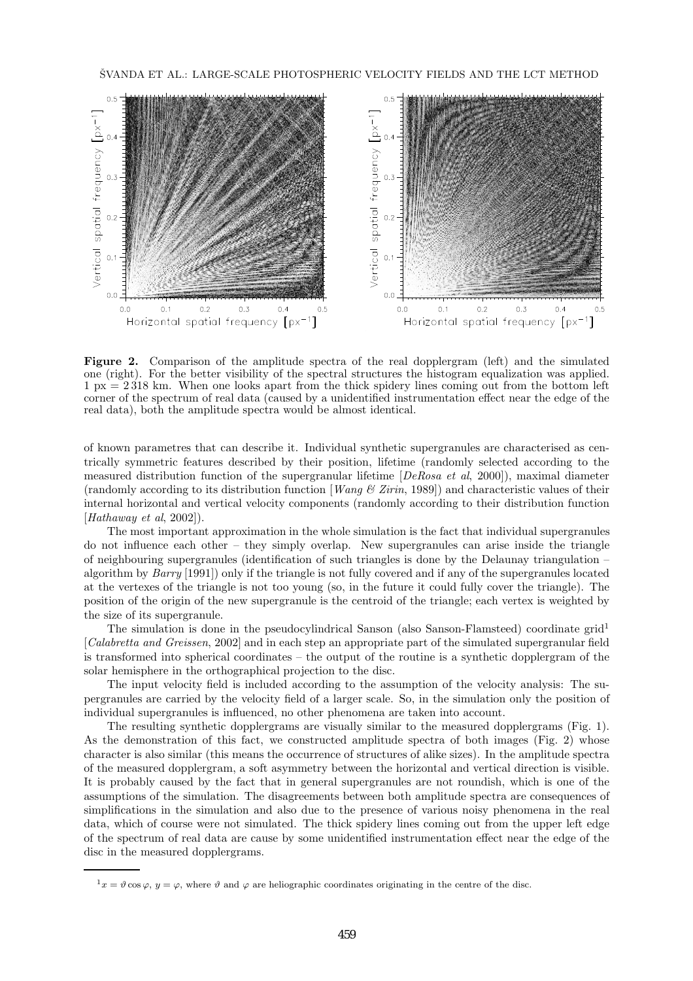

Figure 2. Comparison of the amplitude spectra of the real dopplergram (left) and the simulated one (right). For the better visibility of the spectral structures the histogram equalization was applied. 1 px = 2 318 km. When one looks apart from the thick spidery lines coming out from the bottom left corner of the spectrum of real data (caused by a unidentified instrumentation effect near the edge of the real data), both the amplitude spectra would be almost identical.

of known parametres that can describe it. Individual synthetic supergranules are characterised as centrically symmetric features described by their position, lifetime (randomly selected according to the measured distribution function of the supergranular lifetime [DeRosa et al, 2000]), maximal diameter (randomly according to its distribution function [*Wang*  $\mathcal{B}$  *Zirin*, 1989]) and characteristic values of their internal horizontal and vertical velocity components (randomly according to their distribution function  $[Hathaway et al, 2002]$ .

The most important approximation in the whole simulation is the fact that individual supergranules do not influence each other – they simply overlap. New supergranules can arise inside the triangle of neighbouring supergranules (identification of such triangles is done by the Delaunay triangulation – algorithm by Barry [1991]) only if the triangle is not fully covered and if any of the supergranules located at the vertexes of the triangle is not too young (so, in the future it could fully cover the triangle). The position of the origin of the new supergranule is the centroid of the triangle; each vertex is weighted by the size of its supergranule.

The simulation is done in the pseudocylindrical Sanson (also Sanson-Flamsteed) coordinate grid<sup>1</sup> [Calabretta and Greissen, 2002] and in each step an appropriate part of the simulated supergranular field is transformed into spherical coordinates – the output of the routine is a synthetic dopplergram of the solar hemisphere in the orthographical projection to the disc.

The input velocity field is included according to the assumption of the velocity analysis: The supergranules are carried by the velocity field of a larger scale. So, in the simulation only the position of individual supergranules is influenced, no other phenomena are taken into account.

The resulting synthetic dopplergrams are visually similar to the measured dopplergrams (Fig. 1). As the demonstration of this fact, we constructed amplitude spectra of both images (Fig. 2) whose character is also similar (this means the occurrence of structures of alike sizes). In the amplitude spectra of the measured dopplergram, a soft asymmetry between the horizontal and vertical direction is visible. It is probably caused by the fact that in general supergranules are not roundish, which is one of the assumptions of the simulation. The disagreements between both amplitude spectra are consequences of simplifications in the simulation and also due to the presence of various noisy phenomena in the real data, which of course were not simulated. The thick spidery lines coming out from the upper left edge of the spectrum of real data are cause by some unidentified instrumentation effect near the edge of the disc in the measured dopplergrams.

 $1_x = \vartheta \cos \varphi, y = \varphi$ , where  $\vartheta$  and  $\varphi$  are heliographic coordinates originating in the centre of the disc.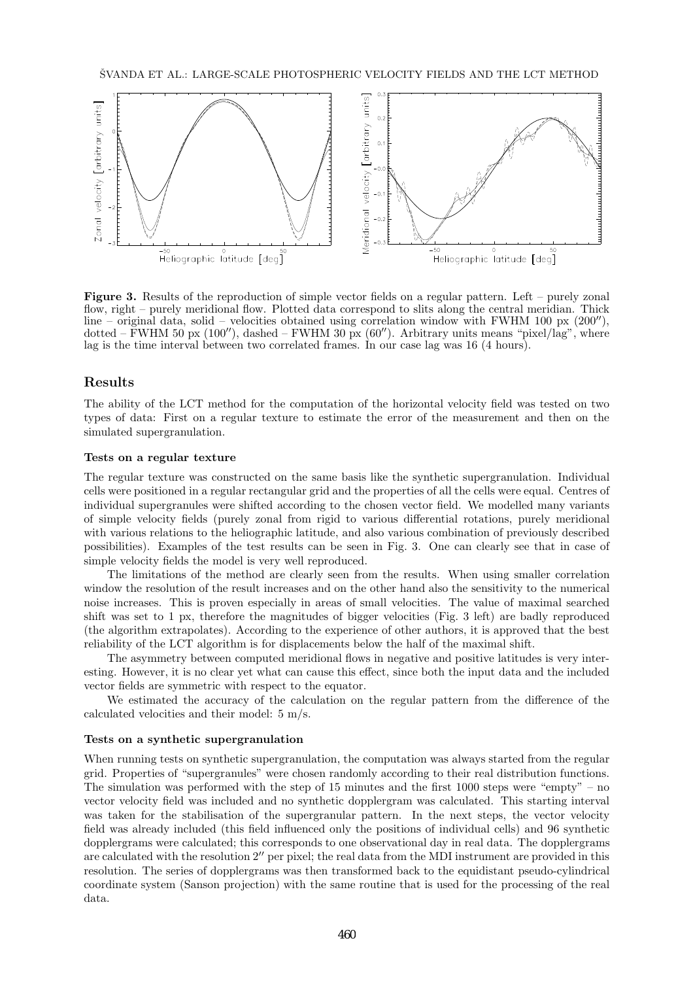

Figure 3. Results of the reproduction of simple vector fields on a regular pattern. Left – purely zonal flow, right – purely meridional flow. Plotted data correspond to slits along the central meridian. Thick line – original data, solid – velocities obtained using correlation window with FWHM 100 px  $(200'')$ , dotted – FWHM 50 px  $(100'')$ , dashed – FWHM 30 px  $(60'')$ . Arbitrary units means "pixel/lag", where lag is the time interval between two correlated frames. In our case lag was 16 (4 hours).

## Results

The ability of the LCT method for the computation of the horizontal velocity field was tested on two types of data: First on a regular texture to estimate the error of the measurement and then on the simulated supergranulation.

#### Tests on a regular texture

The regular texture was constructed on the same basis like the synthetic supergranulation. Individual cells were positioned in a regular rectangular grid and the properties of all the cells were equal. Centres of individual supergranules were shifted according to the chosen vector field. We modelled many variants of simple velocity fields (purely zonal from rigid to various differential rotations, purely meridional with various relations to the heliographic latitude, and also various combination of previously described possibilities). Examples of the test results can be seen in Fig. 3. One can clearly see that in case of simple velocity fields the model is very well reproduced.

The limitations of the method are clearly seen from the results. When using smaller correlation window the resolution of the result increases and on the other hand also the sensitivity to the numerical noise increases. This is proven especially in areas of small velocities. The value of maximal searched shift was set to 1 px, therefore the magnitudes of bigger velocities (Fig. 3 left) are badly reproduced (the algorithm extrapolates). According to the experience of other authors, it is approved that the best reliability of the LCT algorithm is for displacements below the half of the maximal shift.

The asymmetry between computed meridional flows in negative and positive latitudes is very interesting. However, it is no clear yet what can cause this effect, since both the input data and the included vector fields are symmetric with respect to the equator.

We estimated the accuracy of the calculation on the regular pattern from the difference of the calculated velocities and their model: 5 m/s.

#### Tests on a synthetic supergranulation

When running tests on synthetic supergranulation, the computation was always started from the regular grid. Properties of "supergranules" were chosen randomly according to their real distribution functions. The simulation was performed with the step of  $15$  minutes and the first  $1000$  steps were "empty" – no vector velocity field was included and no synthetic dopplergram was calculated. This starting interval was taken for the stabilisation of the supergranular pattern. In the next steps, the vector velocity field was already included (this field influenced only the positions of individual cells) and 96 synthetic dopplergrams were calculated; this corresponds to one observational day in real data. The dopplergrams are calculated with the resolution 2′′ per pixel; the real data from the MDI instrument are provided in this resolution. The series of dopplergrams was then transformed back to the equidistant pseudo-cylindrical coordinate system (Sanson projection) with the same routine that is used for the processing of the real data.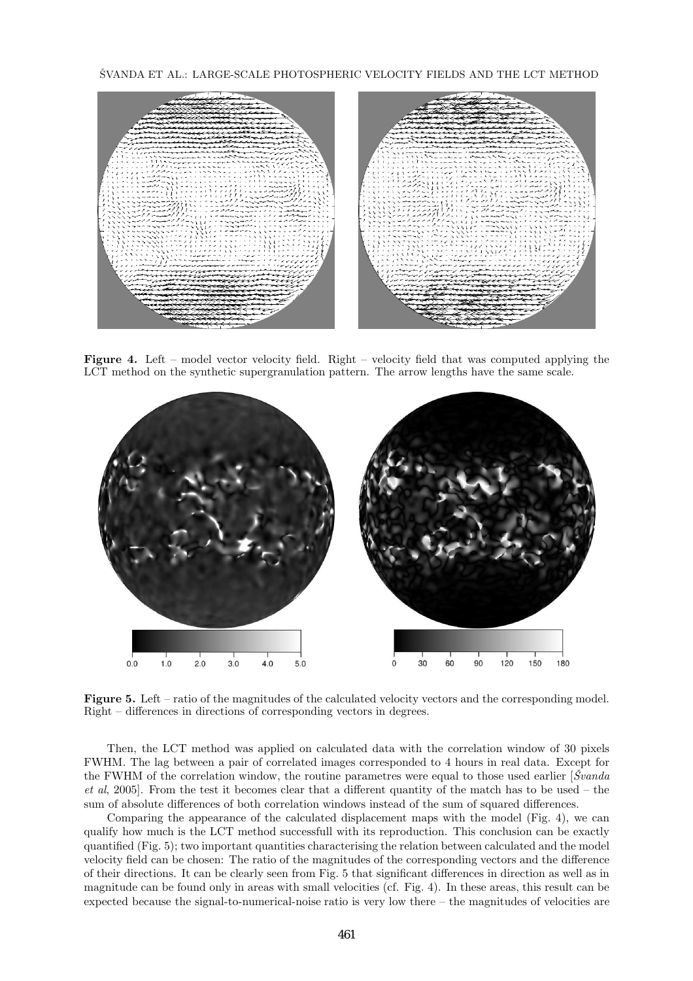SVANDA ET AL.: LARGE-SCALE PHOTOSPHERIC VELOCITY FIELDS AND THE LCT METHOD



Figure 4. Left – model vector velocity field. Right – velocity field that was computed applying the LCT method on the synthetic supergranulation pattern. The arrow lengths have the same scale.



Figure 5. Left – ratio of the magnitudes of the calculated velocity vectors and the corresponding model. Right – differences in directions of corresponding vectors in degrees.

Then, the LCT method was applied on calculated data with the correlation window of 30 pixels FWHM. The lag between a pair of correlated images corresponded to 4 hours in real data. Except for the FWHM of the correlation window, the routine parametres were equal to those used earlier  $[\mathcal{S}v]$ et al, 2005]. From the test it becomes clear that a different quantity of the match has to be used – the sum of absolute differences of both correlation windows instead of the sum of squared differences.

Comparing the appearance of the calculated displacement maps with the model (Fig. 4), we can qualify how much is the LCT method successfull with its reproduction. This conclusion can be exactly quantified (Fig. 5); two important quantities characterising the relation between calculated and the model velocity field can be chosen: The ratio of the magnitudes of the corresponding vectors and the difference of their directions. It can be clearly seen from Fig. 5 that significant differences in direction as well as in magnitude can be found only in areas with small velocities (cf. Fig. 4). In these areas, this result can be expected because the signal-to-numerical-noise ratio is very low there – the magnitudes of velocities are